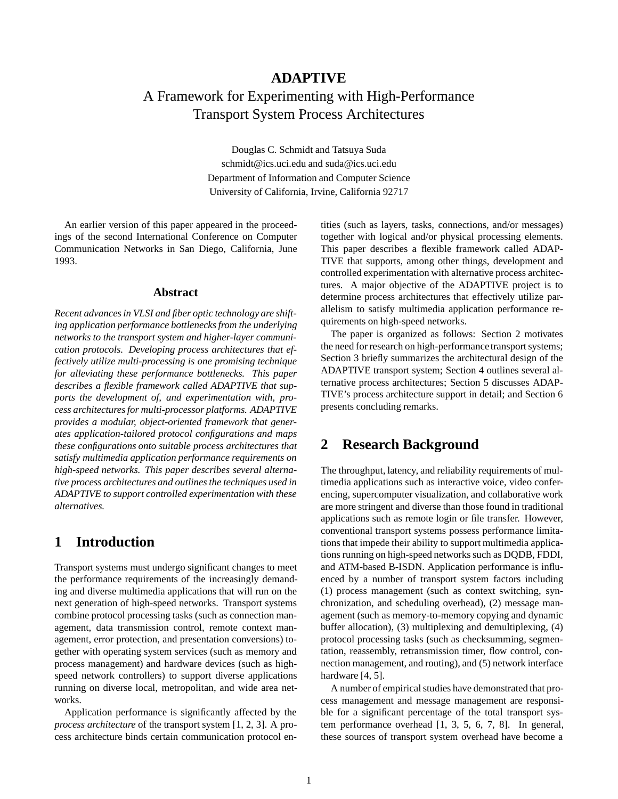# **ADAPTIVE** A Framework for Experimenting with High-Performance Transport System Process Architectures

Douglas C. Schmidt and Tatsuya Suda schmidt@ics.uci.edu and suda@ics.uci.edu Department of Information and Computer Science University of California, Irvine, California 92717

An earlier version of this paper appeared in the proceedings of the second International Conference on Computer Communication Networks in San Diego, California, June 1993.

#### **Abstract**

*Recent advances in VLSI and fiber optic technology are shifting application performance bottlenecks from the underlying networks to the transport system and higher-layer communication protocols. Developing process architectures that effectively utilize multi-processing is one promising technique for alleviating these performance bottlenecks. This paper describes a flexible framework called ADAPTIVE that supports the development of, and experimentation with, process architectures for multi-processor platforms. ADAPTIVE provides a modular, object-oriented framework that generates application-tailored protocol configurations and maps these configurations onto suitable process architectures that satisfy multimedia application performance requirements on high-speed networks. This paper describes several alternative process architectures and outlines the techniques used in ADAPTIVE to support controlled experimentation with these alternatives.*

## **1 Introduction**

Transport systems must undergo significant changes to meet the performance requirements of the increasingly demanding and diverse multimedia applications that will run on the next generation of high-speed networks. Transport systems combine protocol processing tasks (such as connection management, data transmission control, remote context management, error protection, and presentation conversions) together with operating system services (such as memory and process management) and hardware devices (such as highspeed network controllers) to support diverse applications running on diverse local, metropolitan, and wide area networks.

Application performance is significantly affected by the *process architecture* of the transport system [1, 2, 3]. A process architecture binds certain communication protocol entities (such as layers, tasks, connections, and/or messages) together with logical and/or physical processing elements. This paper describes a flexible framework called ADAP-TIVE that supports, among other things, development and controlled experimentation with alternative process architectures. A major objective of the ADAPTIVE project is to determine process architectures that effectively utilize parallelism to satisfy multimedia application performance requirements on high-speed networks.

The paper is organized as follows: Section 2 motivates the need for research on high-performance transport systems; Section 3 briefly summarizes the architectural design of the ADAPTIVE transport system; Section 4 outlines several alternative process architectures; Section 5 discusses ADAP-TIVE's process architecture support in detail; and Section 6 presents concluding remarks.

## **2 Research Background**

The throughput, latency, and reliability requirements of multimedia applications such as interactive voice, video conferencing, supercomputer visualization, and collaborative work are more stringent and diverse than those found in traditional applications such as remote login or file transfer. However, conventional transport systems possess performance limitations that impede their ability to support multimedia applications running on high-speed networks such as DQDB, FDDI, and ATM-based B-ISDN. Application performance is influenced by a number of transport system factors including (1) process management (such as context switching, synchronization, and scheduling overhead), (2) message management (such as memory-to-memory copying and dynamic buffer allocation), (3) multiplexing and demultiplexing, (4) protocol processing tasks (such as checksumming, segmentation, reassembly, retransmission timer, flow control, connection management, and routing), and (5) network interface hardware [4, 5].

A number of empirical studies have demonstrated that process management and message management are responsible for a significant percentage of the total transport system performance overhead [1, 3, 5, 6, 7, 8]. In general, these sources of transport system overhead have become a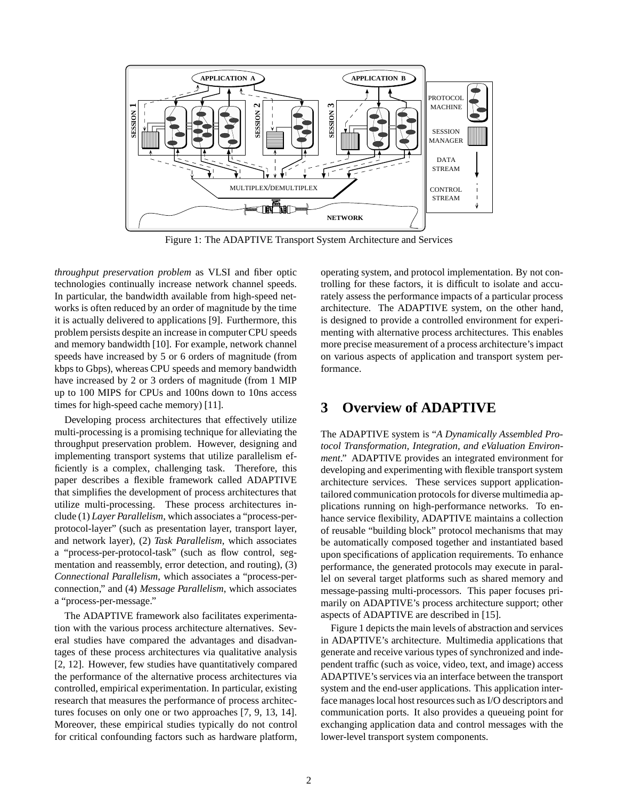

Figure 1: The ADAPTIVE Transport System Architecture and Services

*throughput preservation problem* as VLSI and fiber optic technologies continually increase network channel speeds. In particular, the bandwidth available from high-speed networks is often reduced by an order of magnitude by the time it is actually delivered to applications [9]. Furthermore, this problem persists despite an increase in computer CPU speeds and memory bandwidth [10]. For example, network channel speeds have increased by 5 or 6 orders of magnitude (from kbps to Gbps), whereas CPU speeds and memory bandwidth have increased by 2 or 3 orders of magnitude (from 1 MIP up to 100 MIPS for CPUs and 100ns down to 10ns access times for high-speed cache memory) [11].

Developing process architectures that effectively utilize multi-processing is a promising technique for alleviating the throughput preservation problem. However, designing and implementing transport systems that utilize parallelism efficiently is a complex, challenging task. Therefore, this paper describes a flexible framework called ADAPTIVE that simplifies the development of process architectures that utilize multi-processing. These process architectures include (1) *Layer Parallelism*, which associates a "process-perprotocol-layer" (such as presentation layer, transport layer, and network layer), (2) *Task Parallelism*, which associates a "process-per-protocol-task" (such as flow control, segmentation and reassembly, error detection, and routing), (3) *Connectional Parallelism*, which associates a "process-perconnection," and (4) *Message Parallelism*, which associates a "process-per-message."

The ADAPTIVE framework also facilitates experimentation with the various process architecture alternatives. Several studies have compared the advantages and disadvantages of these process architectures via qualitative analysis [2, 12]. However, few studies have quantitatively compared the performance of the alternative process architectures via controlled, empirical experimentation. In particular, existing research that measures the performance of process architectures focuses on only one or two approaches [7, 9, 13, 14]. Moreover, these empirical studies typically do not control for critical confounding factors such as hardware platform,

operating system, and protocol implementation. By not controlling for these factors, it is difficult to isolate and accurately assess the performance impacts of a particular process architecture. The ADAPTIVE system, on the other hand, is designed to provide a controlled environment for experimenting with alternative process architectures. This enables more precise measurement of a process architecture's impact on various aspects of application and transport system performance.

## **3 Overview of ADAPTIVE**

The ADAPTIVE system is "*A Dynamically Assembled Protocol Transformation, Integration, and eValuation Environment*." ADAPTIVE provides an integrated environment for developing and experimenting with flexible transport system architecture services. These services support applicationtailored communication protocols for diverse multimedia applications running on high-performance networks. To enhance service flexibility, ADAPTIVE maintains a collection of reusable "building block" protocol mechanisms that may be automatically composed together and instantiated based upon specifications of application requirements. To enhance performance, the generated protocols may execute in parallel on several target platforms such as shared memory and message-passing multi-processors. This paper focuses primarily on ADAPTIVE's process architecture support; other aspects of ADAPTIVE are described in [15].

Figure 1 depicts the main levels of abstraction and services in ADAPTIVE's architecture. Multimedia applications that generate and receive various types of synchronized and independent traffic (such as voice, video, text, and image) access ADAPTIVE's services via an interface between the transport system and the end-user applications. This application interface manages local host resources such as I/O descriptors and communication ports. It also provides a queueing point for exchanging application data and control messages with the lower-level transport system components.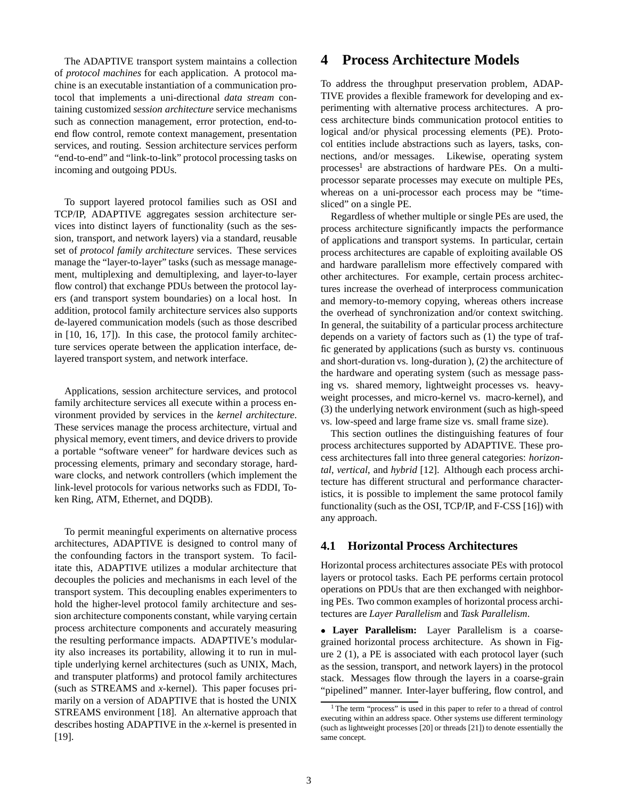The ADAPTIVE transport system maintains a collection of *protocol machines* for each application. A protocol machine is an executable instantiation of a communication protocol that implements a uni-directional *data stream* containing customized *session architecture* service mechanisms such as connection management, error protection, end-toend flow control, remote context management, presentation services, and routing. Session architecture services perform "end-to-end" and "link-to-link" protocol processing tasks on incoming and outgoing PDUs.

To support layered protocol families such as OSI and TCP/IP, ADAPTIVE aggregates session architecture services into distinct layers of functionality (such as the session, transport, and network layers) via a standard, reusable set of *protocol family architecture* services. These services manage the "layer-to-layer" tasks (such as message management, multiplexing and demultiplexing, and layer-to-layer flow control) that exchange PDUs between the protocol layers (and transport system boundaries) on a local host. In addition, protocol family architecture services also supports de-layered communication models (such as those described in [10, 16, 17]). In this case, the protocol family architecture services operate between the application interface, delayered transport system, and network interface.

Applications, session architecture services, and protocol family architecture services all execute within a process environment provided by services in the *kernel architecture*. These services manage the process architecture, virtual and physical memory, event timers, and device drivers to provide a portable "software veneer" for hardware devices such as processing elements, primary and secondary storage, hardware clocks, and network controllers (which implement the link-level protocols for various networks such as FDDI, Token Ring, ATM, Ethernet, and DQDB).

To permit meaningful experiments on alternative process architectures, ADAPTIVE is designed to control many of the confounding factors in the transport system. To facilitate this, ADAPTIVE utilizes a modular architecture that decouples the policies and mechanisms in each level of the transport system. This decoupling enables experimenters to hold the higher-level protocol family architecture and session architecture components constant, while varying certain process architecture components and accurately measuring the resulting performance impacts. ADAPTIVE's modularity also increases its portability, allowing it to run in multiple underlying kernel architectures (such as UNIX, Mach, and transputer platforms) and protocol family architectures (such as STREAMS and *x*-kernel). This paper focuses primarily on a version of ADAPTIVE that is hosted the UNIX STREAMS environment [18]. An alternative approach that describes hosting ADAPTIVE in the *x*-kernel is presented in [19].

## **4 Process Architecture Models**

To address the throughput preservation problem, ADAP-TIVE provides a flexible framework for developing and experimenting with alternative process architectures. A process architecture binds communication protocol entities to logical and/or physical processing elements (PE). Protocol entities include abstractions such as layers, tasks, connections, and/or messages. Likewise, operating system processes<sup>1</sup> are abstractions of hardware PEs. On a multiprocessor separate processes may execute on multiple PEs, whereas on a uni-processor each process may be "timesliced" on a single PE.

Regardless of whether multiple or single PEs are used, the process architecture significantly impacts the performance of applications and transport systems. In particular, certain process architectures are capable of exploiting available OS and hardware parallelism more effectively compared with other architectures. For example, certain process architectures increase the overhead of interprocess communication and memory-to-memory copying, whereas others increase the overhead of synchronization and/or context switching. In general, the suitability of a particular process architecture depends on a variety of factors such as (1) the type of traffic generated by applications (such as bursty vs. continuous and short-duration vs. long-duration ), (2) the architecture of the hardware and operating system (such as message passing vs. shared memory, lightweight processes vs. heavyweight processes, and micro-kernel vs. macro-kernel), and (3) the underlying network environment (such as high-speed vs. low-speed and large frame size vs. small frame size).

This section outlines the distinguishing features of four process architectures supported by ADAPTIVE. These process architectures fall into three general categories: *horizontal*, *vertical*, and *hybrid* [12]. Although each process architecture has different structural and performance characteristics, it is possible to implement the same protocol family functionality (such as the OSI, TCP/IP, and F-CSS [16]) with any approach.

### **4.1 Horizontal Process Architectures**

Horizontal process architectures associate PEs with protocol layers or protocol tasks. Each PE performs certain protocol operations on PDUs that are then exchanged with neighboring PEs. Two common examples of horizontal process architectures are *Layer Parallelism* and *Task Parallelism*.

 **Layer Parallelism:** Layer Parallelism is a coarsegrained horizontal process architecture. As shown in Figure 2 (1), a PE is associated with each protocol layer (such as the session, transport, and network layers) in the protocol stack. Messages flow through the layers in a coarse-grain "pipelined" manner. Inter-layer buffering, flow control, and

<sup>&</sup>lt;sup>1</sup>The term "process" is used in this paper to refer to a thread of control executing within an address space. Other systems use different terminology (such as lightweight processes [20] or threads [21]) to denote essentially the same concept.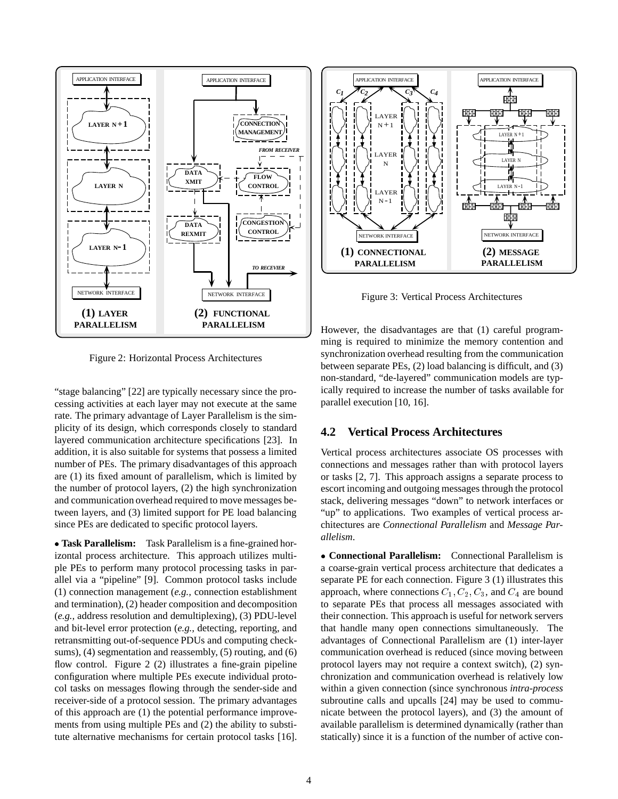

Figure 2: Horizontal Process Architectures

"stage balancing" [22] are typically necessary since the processing activities at each layer may not execute at the same rate. The primary advantage of Layer Parallelism is the simplicity of its design, which corresponds closely to standard layered communication architecture specifications [23]. In addition, it is also suitable for systems that possess a limited number of PEs. The primary disadvantages of this approach are (1) its fixed amount of parallelism, which is limited by the number of protocol layers, (2) the high synchronization and communication overhead required to move messages between layers, and (3) limited support for PE load balancing since PEs are dedicated to specific protocol layers.

 **Task Parallelism:** Task Parallelism is a fine-grained horizontal process architecture. This approach utilizes multiple PEs to perform many protocol processing tasks in parallel via a "pipeline" [9]. Common protocol tasks include (1) connection management (*e.g.,* connection establishment and termination), (2) header composition and decomposition (*e.g.,* address resolution and demultiplexing), (3) PDU-level and bit-level error protection (*e.g.,* detecting, reporting, and retransmitting out-of-sequence PDUs and computing checksums), (4) segmentation and reassembly, (5) routing, and (6) flow control. Figure 2 (2) illustrates a fine-grain pipeline configuration where multiple PEs execute individual protocol tasks on messages flowing through the sender-side and receiver-side of a protocol session. The primary advantages of this approach are (1) the potential performance improvements from using multiple PEs and (2) the ability to substitute alternative mechanisms for certain protocol tasks [16].



Figure 3: Vertical Process Architectures

However, the disadvantages are that (1) careful programming is required to minimize the memory contention and synchronization overhead resulting from the communication between separate PEs, (2) load balancing is difficult, and (3) non-standard, "de-layered" communication models are typically required to increase the number of tasks available for parallel execution [10, 16].

## **4.2 Vertical Process Architectures**

Vertical process architectures associate OS processes with connections and messages rather than with protocol layers or tasks [2, 7]. This approach assigns a separate process to escort incoming and outgoing messages through the protocol stack, delivering messages "down" to network interfaces or "up" to applications. Two examples of vertical process architectures are *Connectional Parallelism* and *Message Parallelism*.

 **Connectional Parallelism:** Connectional Parallelism is a coarse-grain vertical process architecture that dedicates a separate PE for each connection. Figure 3 (1) illustrates this approach, where connections  $C_1$ ,  $C_2$ ,  $C_3$ , and  $C_4$  are bound to separate PEs that process all messages associated with their connection. This approach is useful for network servers that handle many open connections simultaneously. The advantages of Connectional Parallelism are (1) inter-layer communication overhead is reduced (since moving between protocol layers may not require a context switch), (2) synchronization and communication overhead is relatively low within a given connection (since synchronous *intra-process* subroutine calls and upcalls [24] may be used to communicate between the protocol layers), and (3) the amount of available parallelism is determined dynamically (rather than statically) since it is a function of the number of active con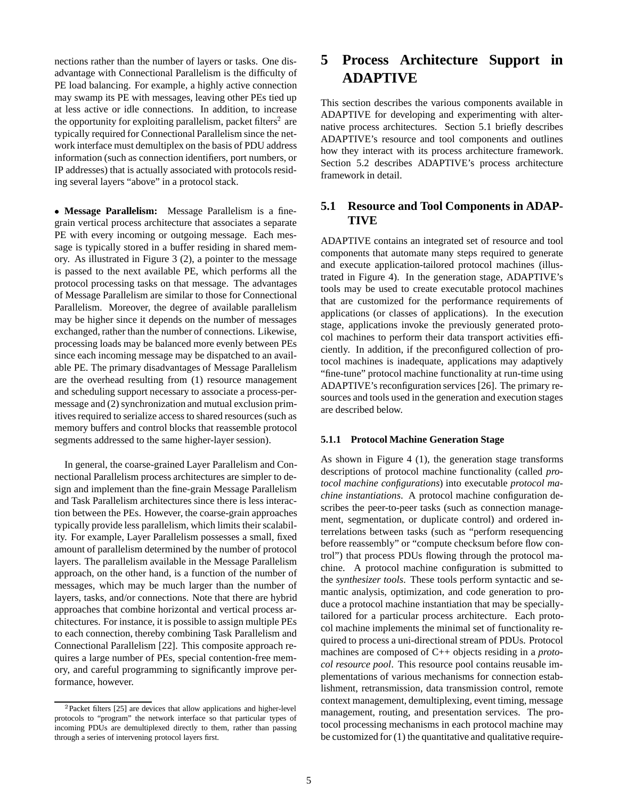nections rather than the number of layers or tasks. One disadvantage with Connectional Parallelism is the difficulty of PE load balancing. For example, a highly active connection may swamp its PE with messages, leaving other PEs tied up at less active or idle connections. In addition, to increase the opportunity for exploiting parallelism, packet filters<sup>2</sup> are typically required for Connectional Parallelism since the network interface must demultiplex on the basis of PDU address information (such as connection identifiers, port numbers, or IP addresses) that is actually associated with protocols residing several layers "above" in a protocol stack.

 **Message Parallelism:** Message Parallelism is a finegrain vertical process architecture that associates a separate PE with every incoming or outgoing message. Each message is typically stored in a buffer residing in shared memory. As illustrated in Figure 3 (2), a pointer to the message is passed to the next available PE, which performs all the protocol processing tasks on that message. The advantages of Message Parallelism are similar to those for Connectional Parallelism. Moreover, the degree of available parallelism may be higher since it depends on the number of messages exchanged, rather than the number of connections. Likewise, processing loads may be balanced more evenly between PEs since each incoming message may be dispatched to an available PE. The primary disadvantages of Message Parallelism are the overhead resulting from (1) resource management and scheduling support necessary to associate a process-permessage and (2) synchronization and mutual exclusion primitives required to serialize access to shared resources (such as memory buffers and control blocks that reassemble protocol segments addressed to the same higher-layer session).

In general, the coarse-grained Layer Parallelism and Connectional Parallelism process architectures are simpler to design and implement than the fine-grain Message Parallelism and Task Parallelism architectures since there is less interaction between the PEs. However, the coarse-grain approaches typically provide less parallelism, which limits their scalability. For example, Layer Parallelism possesses a small, fixed amount of parallelism determined by the number of protocol layers. The parallelism available in the Message Parallelism approach, on the other hand, is a function of the number of messages, which may be much larger than the number of layers, tasks, and/or connections. Note that there are hybrid approaches that combine horizontal and vertical process architectures. For instance, it is possible to assign multiple PEs to each connection, thereby combining Task Parallelism and Connectional Parallelism [22]. This composite approach requires a large number of PEs, special contention-free memory, and careful programming to significantly improve performance, however.

# **5 Process Architecture Support in ADAPTIVE**

This section describes the various components available in ADAPTIVE for developing and experimenting with alternative process architectures. Section 5.1 briefly describes ADAPTIVE's resource and tool components and outlines how they interact with its process architecture framework. Section 5.2 describes ADAPTIVE's process architecture framework in detail.

## **5.1 Resource and Tool Components in ADAP-TIVE**

ADAPTIVE contains an integrated set of resource and tool components that automate many steps required to generate and execute application-tailored protocol machines (illustrated in Figure 4). In the generation stage, ADAPTIVE's tools may be used to create executable protocol machines that are customized for the performance requirements of applications (or classes of applications). In the execution stage, applications invoke the previously generated protocol machines to perform their data transport activities efficiently. In addition, if the preconfigured collection of protocol machines is inadequate, applications may adaptively "fine-tune" protocol machine functionality at run-time using ADAPTIVE's reconfiguration services [26]. The primary resources and tools used in the generation and execution stages are described below.

#### **5.1.1 Protocol Machine Generation Stage**

As shown in Figure 4 (1), the generation stage transforms descriptions of protocol machine functionality (called *protocol machine configurations*) into executable *protocol machine instantiations*. A protocol machine configuration describes the peer-to-peer tasks (such as connection management, segmentation, or duplicate control) and ordered interrelations between tasks (such as "perform resequencing before reassembly" or "compute checksum before flow control") that process PDUs flowing through the protocol machine. A protocol machine configuration is submitted to the *synthesizer tools*. These tools perform syntactic and semantic analysis, optimization, and code generation to produce a protocol machine instantiation that may be speciallytailored for a particular process architecture. Each protocol machine implements the minimal set of functionality required to process a uni-directional stream of PDUs. Protocol machines are composed of C++ objects residing in a *protocol resource pool*. This resource pool contains reusable implementations of various mechanisms for connection establishment, retransmission, data transmission control, remote context management, demultiplexing, event timing, message management, routing, and presentation services. The protocol processing mechanisms in each protocol machine may be customized for (1) the quantitative and qualitative require-

<sup>&</sup>lt;sup>2</sup> Packet filters [25] are devices that allow applications and higher-level protocols to "program" the network interface so that particular types of incoming PDUs are demultiplexed directly to them, rather than passing through a series of intervening protocol layers first.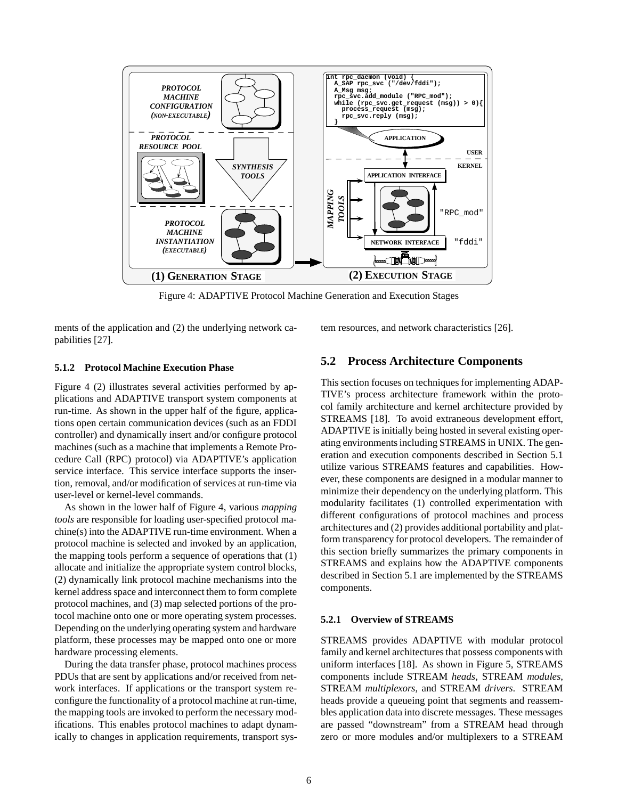

Figure 4: ADAPTIVE Protocol Machine Generation and Execution Stages

ments of the application and (2) the underlying network capabilities [27].

tem resources, and network characteristics [26].

#### **5.1.2 Protocol Machine Execution Phase**

Figure 4 (2) illustrates several activities performed by applications and ADAPTIVE transport system components at run-time. As shown in the upper half of the figure, applications open certain communication devices (such as an FDDI controller) and dynamically insert and/or configure protocol machines (such as a machine that implements a Remote Procedure Call (RPC) protocol) via ADAPTIVE's application service interface. This service interface supports the insertion, removal, and/or modification of services at run-time via user-level or kernel-level commands.

As shown in the lower half of Figure 4, various *mapping tools* are responsible for loading user-specified protocol machine(s) into the ADAPTIVE run-time environment. When a protocol machine is selected and invoked by an application, the mapping tools perform a sequence of operations that (1) allocate and initialize the appropriate system control blocks, (2) dynamically link protocol machine mechanisms into the kernel address space and interconnect them to form complete protocol machines, and (3) map selected portions of the protocol machine onto one or more operating system processes. Depending on the underlying operating system and hardware platform, these processes may be mapped onto one or more hardware processing elements.

During the data transfer phase, protocol machines process PDUs that are sent by applications and/or received from network interfaces. If applications or the transport system reconfigure the functionality of a protocol machine at run-time, the mapping tools are invoked to perform the necessary modifications. This enables protocol machines to adapt dynamically to changes in application requirements, transport sys-

### **5.2 Process Architecture Components**

This section focuses on techniques for implementing ADAP-TIVE's process architecture framework within the protocol family architecture and kernel architecture provided by STREAMS [18]. To avoid extraneous development effort, ADAPTIVE is initially being hosted in several existing operating environments including STREAMS in UNIX. The generation and execution components described in Section 5.1 utilize various STREAMS features and capabilities. However, these components are designed in a modular manner to minimize their dependency on the underlying platform. This modularity facilitates (1) controlled experimentation with different configurations of protocol machines and process architectures and (2) provides additional portability and platform transparency for protocol developers. The remainder of this section briefly summarizes the primary components in STREAMS and explains how the ADAPTIVE components described in Section 5.1 are implemented by the STREAMS components.

#### **5.2.1 Overview of STREAMS**

STREAMS provides ADAPTIVE with modular protocol family and kernel architectures that possess components with uniform interfaces [18]. As shown in Figure 5, STREAMS components include STREAM *heads*, STREAM *modules*, STREAM *multiplexors*, and STREAM *drivers*. STREAM heads provide a queueing point that segments and reassembles application data into discrete messages. These messages are passed "downstream" from a STREAM head through zero or more modules and/or multiplexers to a STREAM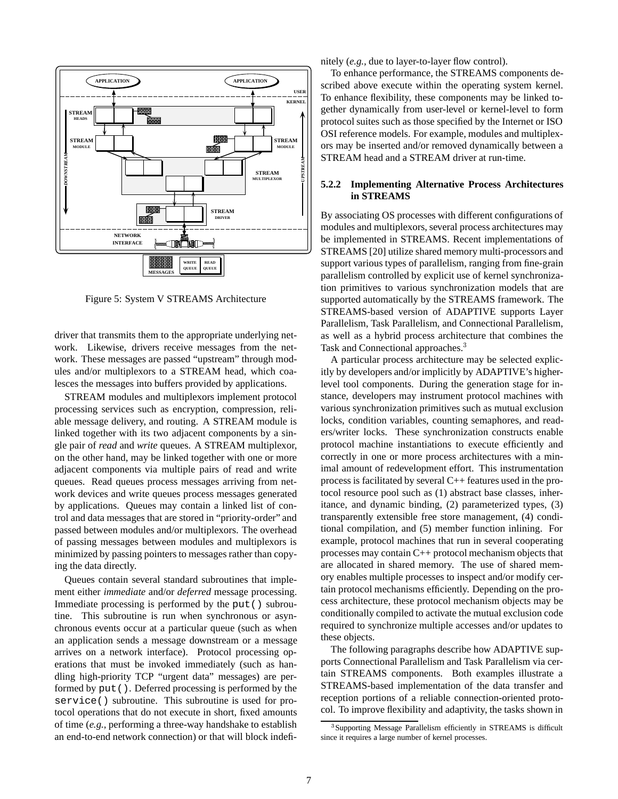

Figure 5: System V STREAMS Architecture

driver that transmits them to the appropriate underlying network. Likewise, drivers receive messages from the network. These messages are passed "upstream" through modules and/or multiplexors to a STREAM head, which coalesces the messages into buffers provided by applications.

STREAM modules and multiplexors implement protocol processing services such as encryption, compression, reliable message delivery, and routing. A STREAM module is linked together with its two adjacent components by a single pair of *read* and *write* queues. A STREAM multiplexor, on the other hand, may be linked together with one or more adjacent components via multiple pairs of read and write queues. Read queues process messages arriving from network devices and write queues process messages generated by applications. Queues may contain a linked list of control and data messages that are stored in "priority-order" and passed between modules and/or multiplexors. The overhead of passing messages between modules and multiplexors is minimized by passing pointers to messages rather than copying the data directly.

Queues contain several standard subroutines that implement either *immediate* and/or *deferred* message processing. Immediate processing is performed by the put() subroutine. This subroutine is run when synchronous or asynchronous events occur at a particular queue (such as when an application sends a message downstream or a message arrives on a network interface). Protocol processing operations that must be invoked immediately (such as handling high-priority TCP "urgent data" messages) are performed by put(). Deferred processing is performed by the service() subroutine. This subroutine is used for protocol operations that do not execute in short, fixed amounts of time (*e.g.,* performing a three-way handshake to establish an end-to-end network connection) or that will block indefinitely (*e.g.,* due to layer-to-layer flow control).

To enhance performance, the STREAMS components described above execute within the operating system kernel. To enhance flexibility, these components may be linked together dynamically from user-level or kernel-level to form protocol suites such as those specified by the Internet or ISO OSI reference models. For example, modules and multiplexors may be inserted and/or removed dynamically between a STREAM head and a STREAM driver at run-time.

#### **5.2.2 Implementing Alternative Process Architectures in STREAMS**

By associating OS processes with different configurations of modules and multiplexors, several process architectures may be implemented in STREAMS. Recent implementations of STREAMS [20] utilize shared memory multi-processors and support various types of parallelism, ranging from fine-grain parallelism controlled by explicit use of kernel synchronization primitives to various synchronization models that are supported automatically by the STREAMS framework. The STREAMS-based version of ADAPTIVE supports Layer Parallelism, Task Parallelism, and Connectional Parallelism, as well as a hybrid process architecture that combines the Task and Connectional approaches.<sup>3</sup>

A particular process architecture may be selected explicitly by developers and/or implicitly by ADAPTIVE's higherlevel tool components. During the generation stage for instance, developers may instrument protocol machines with various synchronization primitives such as mutual exclusion locks, condition variables, counting semaphores, and readers/writer locks. These synchronization constructs enable protocol machine instantiations to execute efficiently and correctly in one or more process architectures with a minimal amount of redevelopment effort. This instrumentation process is facilitated by several C++ features used in the protocol resource pool such as (1) abstract base classes, inheritance, and dynamic binding, (2) parameterized types, (3) transparently extensible free store management, (4) conditional compilation, and (5) member function inlining. For example, protocol machines that run in several cooperating processes may contain C++ protocol mechanism objects that are allocated in shared memory. The use of shared memory enables multiple processes to inspect and/or modify certain protocol mechanisms efficiently. Depending on the process architecture, these protocol mechanism objects may be conditionally compiled to activate the mutual exclusion code required to synchronize multiple accesses and/or updates to these objects.

The following paragraphs describe how ADAPTIVE supports Connectional Parallelism and Task Parallelism via certain STREAMS components. Both examples illustrate a STREAMS-based implementation of the data transfer and reception portions of a reliable connection-oriented protocol. To improve flexibility and adaptivity, the tasks shown in

<sup>&</sup>lt;sup>3</sup> Supporting Message Parallelism efficiently in STREAMS is difficult since it requires a large number of kernel processes.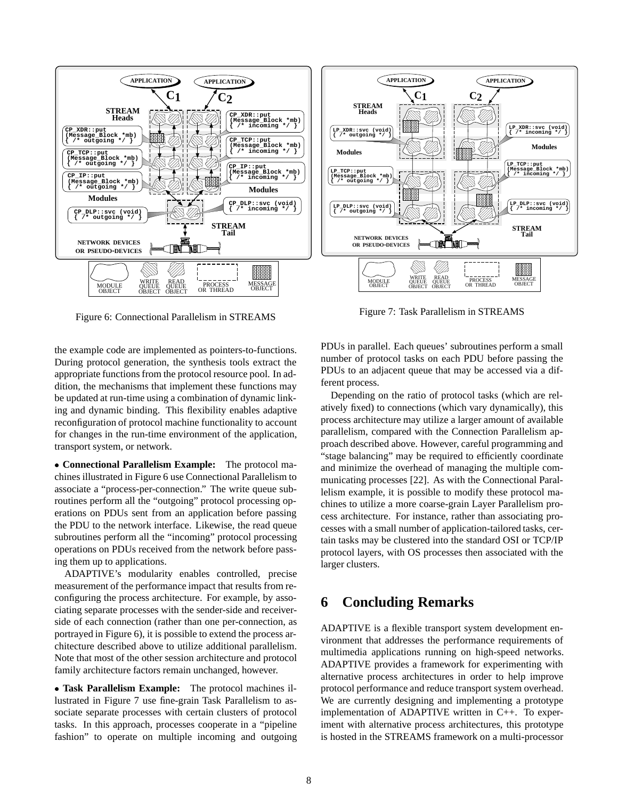

Figure 6: Connectional Parallelism in STREAMS



Figure 7: Task Parallelism in STREAMS

the example code are implemented as pointers-to-functions. During protocol generation, the synthesis tools extract the appropriate functions from the protocol resource pool. In addition, the mechanisms that implement these functions may be updated at run-time using a combination of dynamic linking and dynamic binding. This flexibility enables adaptive reconfiguration of protocol machine functionality to account for changes in the run-time environment of the application, transport system, or network.

 **Connectional Parallelism Example:** The protocol machines illustrated in Figure 6 use Connectional Parallelism to associate a "process-per-connection." The write queue subroutines perform all the "outgoing" protocol processing operations on PDUs sent from an application before passing the PDU to the network interface. Likewise, the read queue subroutines perform all the "incoming" protocol processing operations on PDUs received from the network before passing them up to applications.

ADAPTIVE's modularity enables controlled, precise measurement of the performance impact that results from reconfiguring the process architecture. For example, by associating separate processes with the sender-side and receiverside of each connection (rather than one per-connection, as portrayed in Figure 6), it is possible to extend the process architecture described above to utilize additional parallelism. Note that most of the other session architecture and protocol family architecture factors remain unchanged, however.

 **Task Parallelism Example:** The protocol machines illustrated in Figure 7 use fine-grain Task Parallelism to associate separate processes with certain clusters of protocol tasks. In this approach, processes cooperate in a "pipeline fashion" to operate on multiple incoming and outgoing

PDUs in parallel. Each queues' subroutines perform a small number of protocol tasks on each PDU before passing the PDUs to an adjacent queue that may be accessed via a different process.

Depending on the ratio of protocol tasks (which are relatively fixed) to connections (which vary dynamically), this process architecture may utilize a larger amount of available parallelism, compared with the Connection Parallelism approach described above. However, careful programming and "stage balancing" may be required to efficiently coordinate and minimize the overhead of managing the multiple communicating processes [22]. As with the Connectional Parallelism example, it is possible to modify these protocol machines to utilize a more coarse-grain Layer Parallelism process architecture. For instance, rather than associating processes with a small number of application-tailored tasks, certain tasks may be clustered into the standard OSI or TCP/IP protocol layers, with OS processes then associated with the larger clusters.

# **6 Concluding Remarks**

ADAPTIVE is a flexible transport system development environment that addresses the performance requirements of multimedia applications running on high-speed networks. ADAPTIVE provides a framework for experimenting with alternative process architectures in order to help improve protocol performance and reduce transport system overhead. We are currently designing and implementing a prototype implementation of ADAPTIVE written in C++. To experiment with alternative process architectures, this prototype is hosted in the STREAMS framework on a multi-processor